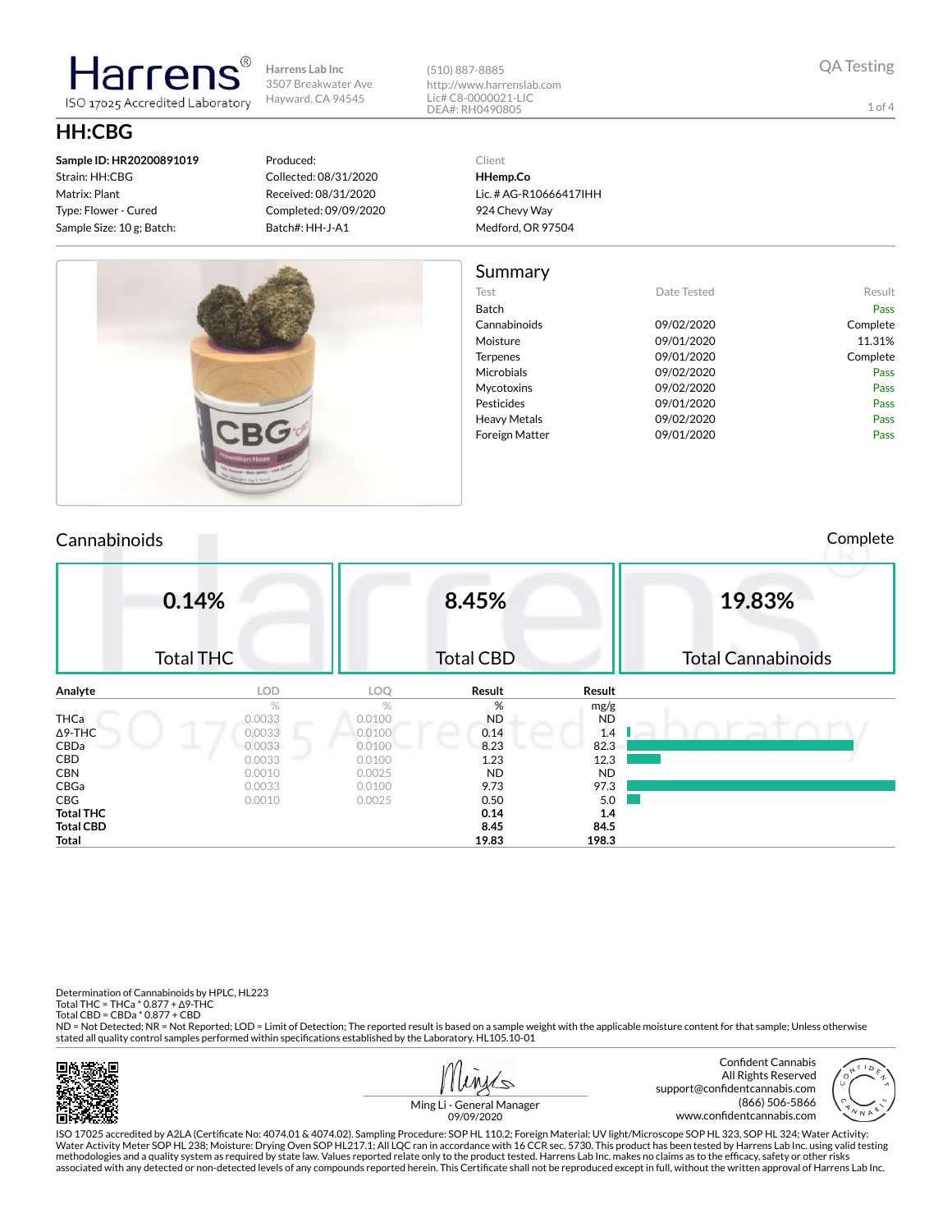**Harrens Lab Inc** 3507 Breakwater Ave Hayward, CA 94545

(510) 887-8885 http://www.harrenslab.com Lic# C8-0000021-LIC DEA#: RH0490805

# **HH:CBG**

**Sample ID: HR20200891019** Strain: HH:CBG Matrix: Plant Type: Flower - Cured Sample Size: 10 g; Batch:

tarrer

ISO 17025 Accredited Laboratory

#### Produced: Collected: 08/31/2020 Received: 08/31/2020 Completed: 09/09/2020 Batch#: HH-J-A1

Client **HHemp.Co**

Lic. # AG-R10666417IHH 924 Chevy Way Medford, OR 97504

| Summary |
|---------|
|---------|

| Test            | Date Tested | Result   |
|-----------------|-------------|----------|
| <b>Batch</b>    |             | Pass     |
| Cannabinoids    | 09/02/2020  | Complete |
| Moisture        | 09/01/2020  | 11.31%   |
| <b>Terpenes</b> | 09/01/2020  | Complete |
| Microbials      | 09/02/2020  | Pass     |
| Mycotoxins      | 09/02/2020  | Pass     |
| Pesticides      | 09/01/2020  | Pass     |
| Heavy Metals    | 09/02/2020  | Pass     |
| Foreign Matter  | 09/01/2020  | Pass     |
|                 |             |          |

### Cannabinoids Complete

|                 | 0.14%            |               | 8.45%            |           | 19.83%                    |
|-----------------|------------------|---------------|------------------|-----------|---------------------------|
|                 | <b>Total THC</b> |               | <b>Total CBD</b> |           | <b>Total Cannabinoids</b> |
| Analyte         | <b>LOD</b>       | LOQ           | Result           | Result    |                           |
|                 | $\%$             | $\frac{1}{2}$ | %                | mg/g      |                           |
| THCa            | 0.0033           | 0.0100        | <b>ND</b>        | <b>ND</b> |                           |
| ∆9-THC          | 0.0033           | 0.0100        | 0.14             | 1.4       |                           |
| CBDa            | 0.0033           | 0.0100        | 8.23             | 82.3      |                           |
| CBD             | 0.0033           | 0.0100        | 1.23             | 12.3      |                           |
| CBN             | 0.0010           | 0.0025        | <b>ND</b>        | <b>ND</b> |                           |
| CBGa            | 0.0033           | 0.0100        | 9.73             | 97.3      |                           |
| $\mathsf{CBG}\$ | 0.0010           | 0.0025        | 0.50             | 5.0       |                           |
| Total THC       |                  |               | 0.14             | 1.4       |                           |
| Total CBD       |                  |               | 8.45             | 84.5      |                           |
| Total           |                  |               | 19.83            | 198.3     |                           |

Determination of Cannabinoids by HPLC, HL223 Total THC = THCa \* 0.877 + ∆9-THC Total CBD = CBDa \* 0.877 + CBD

ND = Not Detected; NR = Not Reported; LOD = Limit of Detection; The reported result is based on a sample weight with the applicable moisture content for that sample; Unless otherwise stated all quality control samples performed within specifications established by the Laboratory. HL105.10-01





1 of 4

Ming Li - General Manager 09/09/2020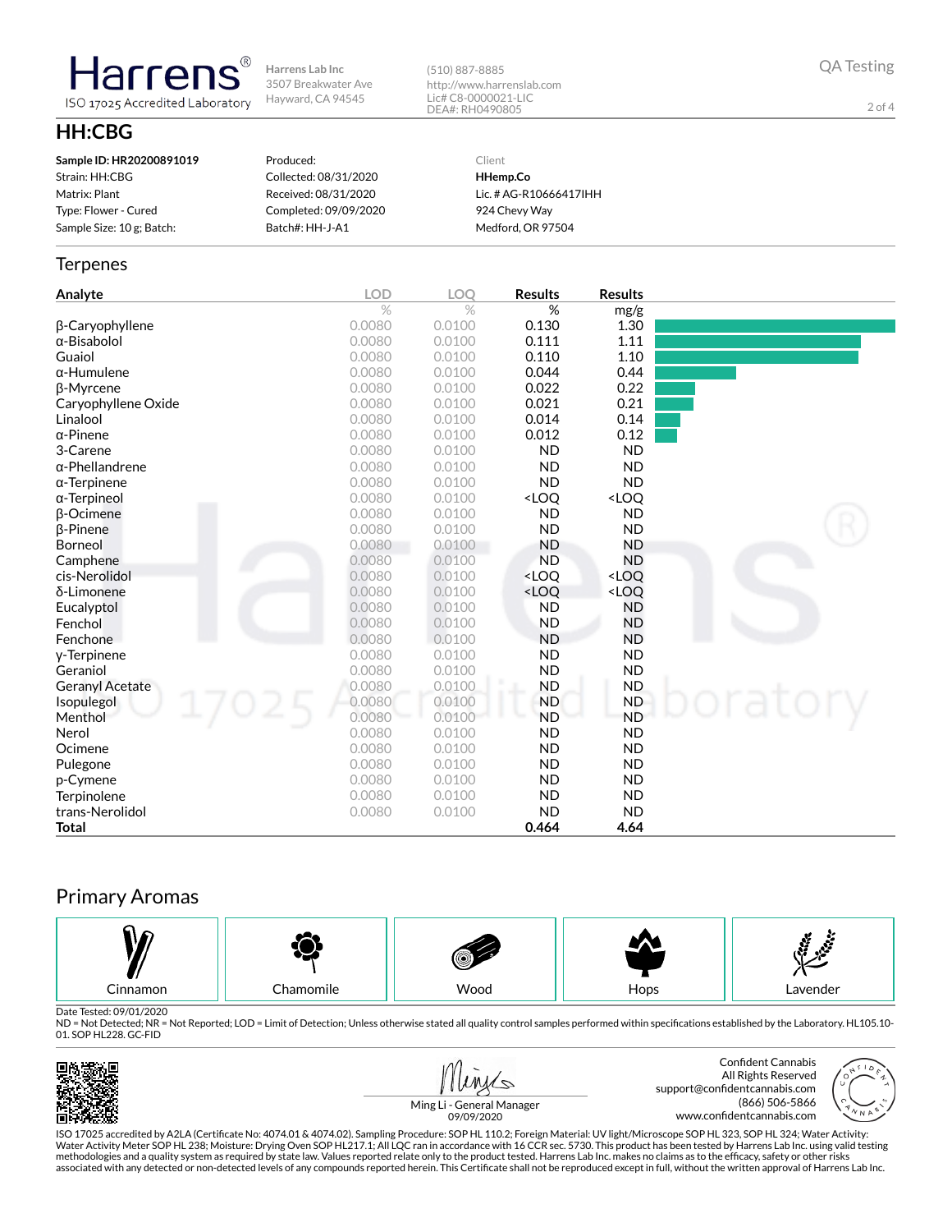**Harrens Lab Inc** 3507 Breakwater Ave Hayward, CA 94545

(510) 887-8885 http://www.harrenslab.com Lic# C8-0000021-LIC DEA#: RH0490805

QA Testing

2 of 4

# **HH:CBG**

**Harrens** ISO 17025 Accredited Laboratory

| Sample ID: HR20200891019  | Produced:             | Client                 |
|---------------------------|-----------------------|------------------------|
| Strain: HH:CBG            | Collected: 08/31/2020 | HHemp.Co               |
| Matrix: Plant             | Received: 08/31/2020  | Lic. # AG-R10666417IHH |
| Type: Flower - Cured      | Completed: 09/09/2020 | 924 Chevy Way          |
| Sample Size: 10 g; Batch: | Batch#: HH-J-A1       | Medford, OR 97504      |
|                           |                       |                        |

#### **Terpenes**

| Analyte                | <b>LOD</b> | LOQ    | <b>Results</b>                                           | <b>Results</b>               |  |
|------------------------|------------|--------|----------------------------------------------------------|------------------------------|--|
|                        | $\%$       | $\%$   | %                                                        | mg/g                         |  |
| β-Caryophyllene        | 0.0080     | 0.0100 | 0.130                                                    | 1.30                         |  |
| $\alpha$ -Bisabolol    | 0.0080     | 0.0100 | 0.111                                                    | 1.11                         |  |
| Guaiol                 | 0.0080     | 0.0100 | 0.110                                                    | 1.10                         |  |
| $\alpha$ -Humulene     | 0.0080     | 0.0100 | 0.044                                                    | 0.44                         |  |
| β-Myrcene              | 0.0080     | 0.0100 | 0.022                                                    | 0.22                         |  |
| Caryophyllene Oxide    | 0.0080     | 0.0100 | 0.021                                                    | 0.21                         |  |
| Linalool               | 0.0080     | 0.0100 | 0.014                                                    | 0.14                         |  |
| $\alpha$ -Pinene       | 0.0080     | 0.0100 | 0.012                                                    | 0.12                         |  |
| 3-Carene               | 0.0080     | 0.0100 | <b>ND</b>                                                | <b>ND</b>                    |  |
| α-Phellandrene         | 0.0080     | 0.0100 | <b>ND</b>                                                | <b>ND</b>                    |  |
| $\alpha$ -Terpinene    | 0.0080     | 0.0100 | <b>ND</b>                                                | <b>ND</b>                    |  |
| $\alpha$ -Terpineol    | 0.0080     | 0.0100 | <loq< th=""><th><loq< th=""><th></th></loq<></th></loq<> | <loq< th=""><th></th></loq<> |  |
| $\beta$ -Ocimene       | 0.0080     | 0.0100 | <b>ND</b>                                                | <b>ND</b>                    |  |
| <b>B-Pinene</b>        | 0.0080     | 0.0100 | <b>ND</b>                                                | <b>ND</b>                    |  |
| Borneol                | 0.0080     | 0.0100 | <b>ND</b>                                                | <b>ND</b>                    |  |
| Camphene               | 0.0080     | 0.0100 | <b>ND</b>                                                | <b>ND</b>                    |  |
| cis-Nerolidol          | 0.0080     | 0.0100 | <loo< th=""><th><loq< th=""><th></th></loq<></th></loo<> | <loq< th=""><th></th></loq<> |  |
| δ-Limonene             | 0.0080     | 0.0100 | <loq< th=""><th><loq< th=""><th></th></loq<></th></loq<> | <loq< th=""><th></th></loq<> |  |
| Eucalyptol             | 0.0080     | 0.0100 | <b>ND</b>                                                | <b>ND</b>                    |  |
| Fenchol                | 0.0080     | 0.0100 | <b>ND</b>                                                | <b>ND</b>                    |  |
| Fenchone               | 0.0080     | 0.0100 | <b>ND</b>                                                | <b>ND</b>                    |  |
| y-Terpinene            | 0.0080     | 0.0100 | <b>ND</b>                                                | <b>ND</b>                    |  |
| Geraniol               | 0.0080     | 0.0100 | <b>ND</b>                                                | <b>ND</b>                    |  |
| <b>Geranyl Acetate</b> | 0.0080     | 0.0100 | <b>ND</b>                                                | <b>ND</b>                    |  |
| Isopulegol             | 0.0080     | 0.0100 | <b>ND</b>                                                | <b>ND</b>                    |  |
| Menthol                | 0.0080     | 0.0100 | <b>ND</b>                                                | <b>ND</b>                    |  |
| Nerol                  | 0.0080     | 0.0100 | <b>ND</b>                                                | <b>ND</b>                    |  |
| Ocimene                | 0.0080     | 0.0100 | <b>ND</b>                                                | <b>ND</b>                    |  |
| Pulegone               | 0.0080     | 0.0100 | <b>ND</b>                                                | <b>ND</b>                    |  |
| p-Cymene               | 0.0080     | 0.0100 | <b>ND</b>                                                | <b>ND</b>                    |  |
| Terpinolene            | 0.0080     | 0.0100 | <b>ND</b>                                                | <b>ND</b>                    |  |
| trans-Nerolidol        | 0.0080     | 0.0100 | <b>ND</b>                                                | <b>ND</b>                    |  |
| Total                  |            |        | 0.464                                                    | 4.64                         |  |

## Primary Aromas



Date Tested: 09/01/2020<br>ND = Not Detected; NR = Not Reported; LOD = Limit of Detection; Unless otherwise stated all quality control samples performed within specifications established by the Laboratory. HL105.10-01. SOP HL228. GC-FID







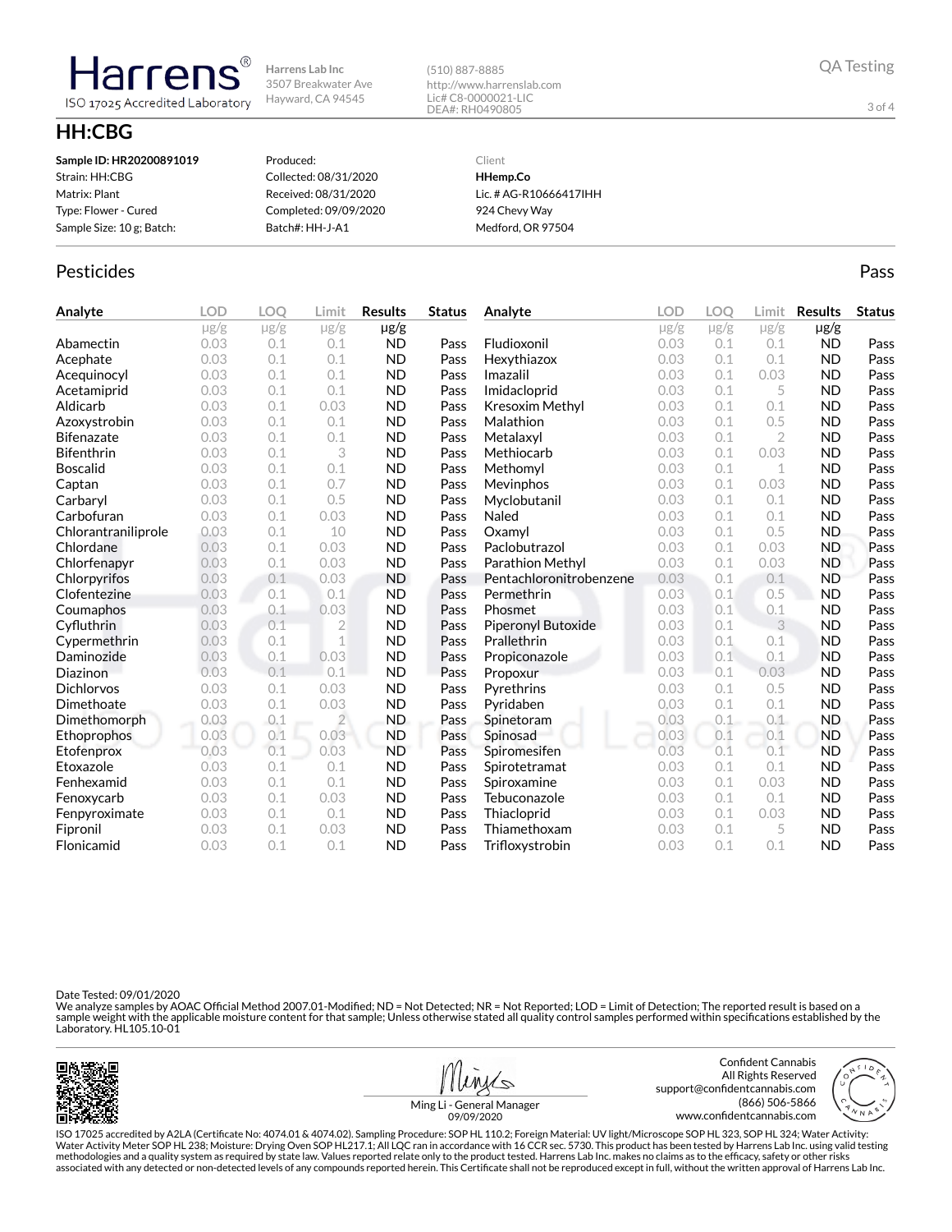**Harrens Lab Inc** 3507 Breakwater Ave Hayward, CA 94545

(510) 887-8885 http://www.harrenslab.com Lic# C8-0000021-LIC DEA#: RH0490805

# **HH:CBG**

**Harrens** 

ISO 17025 Accredited Laboratory

| Sample ID: HR20200891019  | Produced:             | Client                 |
|---------------------------|-----------------------|------------------------|
| Strain: HH:CBG            | Collected: 08/31/2020 | HHemp.Co               |
| Matrix: Plant             | Received: 08/31/2020  | Lic. # AG-R10666417IHH |
| Type: Flower - Cured      | Completed: 09/09/2020 | 924 Chevy Way          |
| Sample Size: 10 g; Batch: | Batch#: HH-J-A1       | Medford, OR 97504      |
|                           |                       |                        |

### Pesticides **Passage Community Community Community** Passes and the extension of the extension of the extension of the extension of the extension of the extension of the extension of the extension of the extension of the ext

| Analyte             | <b>LOD</b> | LOO       | Limit          | <b>Results</b> | <b>Status</b> | Analyte                 | <b>LOD</b> | <b>LOO</b> | Limit          | <b>Results</b> | <b>Status</b> |
|---------------------|------------|-----------|----------------|----------------|---------------|-------------------------|------------|------------|----------------|----------------|---------------|
|                     | $\mu$ g/g  | $\mu$ g/g | $\mu$ g/g      | $\mu$ g/g      |               |                         | $\mu$ g/g  | $\mu$ g/g  | $\mu$ g/g      | $\mu$ g/g      |               |
| Abamectin           | 0.03       | 0.1       | 0.1            | <b>ND</b>      | Pass          | Fludioxonil             | 0.03       | 0.1        | 0.1            | <b>ND</b>      | Pass          |
| Acephate            | 0.03       | 0.1       | 0.1            | <b>ND</b>      | Pass          | Hexythiazox             | 0.03       | 0.1        | 0.1            | <b>ND</b>      | Pass          |
| Acequinocyl         | 0.03       | 0.1       | 0.1            | <b>ND</b>      | Pass          | Imazalil                | 0.03       | 0.1        | 0.03           | <b>ND</b>      | Pass          |
| Acetamiprid         | 0.03       | 0.1       | 0.1            | <b>ND</b>      | Pass          | Imidacloprid            | 0.03       | 0.1        | 5              | <b>ND</b>      | Pass          |
| Aldicarb            | 0.03       | 0.1       | 0.03           | <b>ND</b>      | Pass          | <b>Kresoxim Methyl</b>  | 0.03       | 0.1        | 0.1            | <b>ND</b>      | Pass          |
| Azoxystrobin        | 0.03       | 0.1       | 0.1            | <b>ND</b>      | Pass          | Malathion               | 0.03       | 0.1        | 0.5            | <b>ND</b>      | Pass          |
| <b>Bifenazate</b>   | 0.03       | 0.1       | 0.1            | <b>ND</b>      | Pass          | Metalaxyl               | 0.03       | 0.1        | $\overline{2}$ | <b>ND</b>      | Pass          |
| <b>Bifenthrin</b>   | 0.03       | 0.1       | 3              | <b>ND</b>      | Pass          | Methiocarb              | 0.03       | 0.1        | 0.03           | <b>ND</b>      | Pass          |
| <b>Boscalid</b>     | 0.03       | 0.1       | 0.1            | <b>ND</b>      | Pass          | Methomyl                | 0.03       | 0.1        | $\mathbf 1$    | <b>ND</b>      | Pass          |
| Captan              | 0.03       | 0.1       | 0.7            | <b>ND</b>      | Pass          | Mevinphos               | 0.03       | 0.1        | 0.03           | <b>ND</b>      | Pass          |
| Carbaryl            | 0.03       | 0.1       | 0.5            | <b>ND</b>      | Pass          | Myclobutanil            | 0.03       | 0.1        | 0.1            | <b>ND</b>      | Pass          |
| Carbofuran          | 0.03       | 0.1       | 0.03           | <b>ND</b>      | Pass          | Naled                   | 0.03       | 0.1        | 0.1            | <b>ND</b>      | Pass          |
| Chlorantraniliprole | 0.03       | 0.1       | 10             | <b>ND</b>      | Pass          | Oxamyl                  | 0.03       | 0.1        | 0.5            | <b>ND</b>      | Pass          |
| Chlordane           | 0.03       | 0.1       | 0.03           | <b>ND</b>      | Pass          | Paclobutrazol           | 0.03       | 0.1        | 0.03           | <b>ND</b>      | Pass          |
| Chlorfenapyr        | 0.03       | 0.1       | 0.03           | <b>ND</b>      | Pass          | Parathion Methyl        | 0.03       | 0.1        | 0.03           | <b>ND</b>      | Pass          |
| Chlorpyrifos        | 0.03       | 0.1       | 0.03           | <b>ND</b>      | Pass          | Pentachloronitrobenzene | 0.03       | 0.1        | 0.1            | <b>ND</b>      | Pass          |
| Clofentezine        | 0.03       | 0.1       | 0.1            | <b>ND</b>      | Pass          | Permethrin              | 0.03       | 0.1        | 0.5            | <b>ND</b>      | Pass          |
| Coumaphos           | 0.03       | 0.1       | 0.03           | <b>ND</b>      | Pass          | Phosmet                 | 0.03       | 0.1        | 0.1            | <b>ND</b>      | Pass          |
| Cyfluthrin          | 0.03       | 0.1       | $\overline{2}$ | <b>ND</b>      | Pass          | Piperonyl Butoxide      | 0.03       | 0.1        | 3              | <b>ND</b>      | Pass          |
| Cypermethrin        | 0.03       | 0.1       | 1              | <b>ND</b>      | Pass          | Prallethrin             | 0.03       | 0.1        | 0.1            | <b>ND</b>      | Pass          |
| Daminozide          | 0.03       | 0.1       | 0.03           | <b>ND</b>      | Pass          | Propiconazole           | 0.03       | 0.1        | 0.1            | <b>ND</b>      | Pass          |
| Diazinon            | 0.03       | 0.1       | 0.1            | <b>ND</b>      | Pass          | Propoxur                | 0.03       | 0.1        | 0.03           | <b>ND</b>      | Pass          |
| <b>Dichlorvos</b>   | 0.03       | 0.1       | 0.03           | <b>ND</b>      | Pass          | Pyrethrins              | 0.03       | 0.1        | 0.5            | <b>ND</b>      | Pass          |
| Dimethoate          | 0.03       | 0.1       | 0.03           | <b>ND</b>      | Pass          | Pyridaben               | 0.03       | 0.1        | 0.1            | <b>ND</b>      | Pass          |
| Dimethomorph        | 0.03       | 0.1       | $\overline{2}$ | <b>ND</b>      | Pass          | Spinetoram              | 0.03       | 0.1        | 0.1            | <b>ND</b>      | Pass          |
| Ethoprophos         | 0.03       | 0.1       | 0.03           | <b>ND</b>      | Pass          | Spinosad                | 0.03       | 0.1        | 0.1            | <b>ND</b>      | Pass          |
| Etofenprox          | 0.03       | 0.1       | 0.03           | <b>ND</b>      | Pass          | Spiromesifen            | 0.03       | 0.1        | 0.1            | <b>ND</b>      | Pass          |
| Etoxazole           | 0.03       | 0.1       | 0.1            | <b>ND</b>      | Pass          | Spirotetramat           | 0.03       | 0.1        | 0.1            | <b>ND</b>      | Pass          |
| Fenhexamid          | 0.03       | 0.1       | 0.1            | <b>ND</b>      | Pass          | Spiroxamine             | 0.03       | 0.1        | 0.03           | <b>ND</b>      | Pass          |
| Fenoxycarb          | 0.03       | 0.1       | 0.03           | <b>ND</b>      | Pass          | Tebuconazole            | 0.03       | 0.1        | 0.1            | <b>ND</b>      | Pass          |
| Fenpyroximate       | 0.03       | 0.1       | 0.1            | <b>ND</b>      | Pass          | Thiacloprid             | 0.03       | 0.1        | 0.03           | <b>ND</b>      | Pass          |
| Fipronil            | 0.03       | 0.1       | 0.03           | <b>ND</b>      | Pass          | Thiamethoxam            | 0.03       | 0.1        | 5              | <b>ND</b>      | Pass          |
| Flonicamid          | 0.03       | 0.1       | 0.1            | <b>ND</b>      | Pass          | Trifloxystrobin         | 0.03       | 0.1        | 0.1            | <b>ND</b>      | Pass          |

Date Tested: 09/01/2020

We analyze samples by AOAC Official Method 2007.01-Modified; ND = Not Detected; NR = Not Reported; LOD = Limit of Detection; The reported result is based on a<br>sample weight with the applicable moisture content for that sam





| neral Manager |  |
|---------------|--|

support@confidentcannabis.com



QA Testing

3 of 4

Ming Li - Ge 09/09/2020